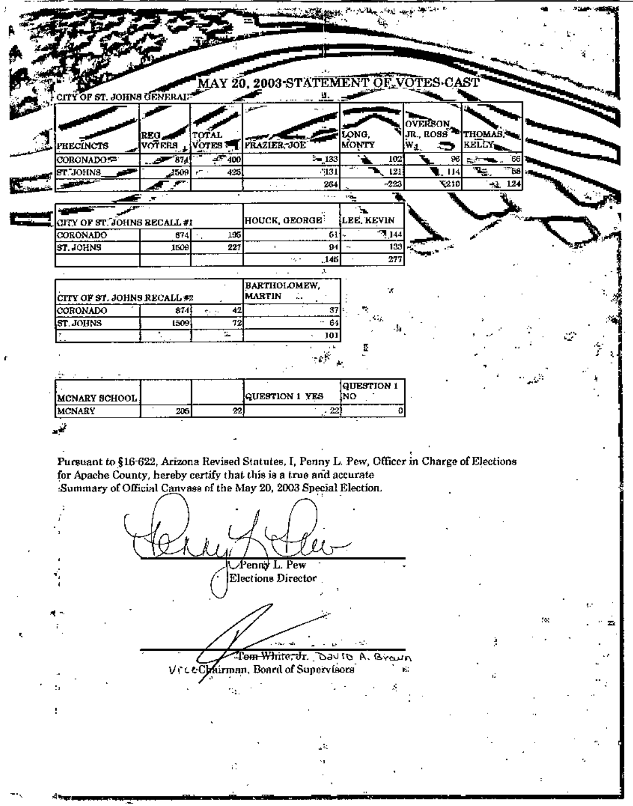|                             |                 |                           | GITY OF ST. JOHNS GENERAL MAY 20, 2003-STATEMENT OF VOTES CAST                                 |                 |                                                   |                             |     |
|-----------------------------|-----------------|---------------------------|------------------------------------------------------------------------------------------------|-----------------|---------------------------------------------------|-----------------------------|-----|
|                             |                 |                           |                                                                                                |                 |                                                   |                             |     |
|                             |                 |                           |                                                                                                |                 |                                                   |                             |     |
|                             |                 |                           |                                                                                                |                 |                                                   |                             |     |
|                             | REG.            | TOTAL                     |                                                                                                | ONG.            | <b>OVERSON</b><br>JR., ROSS <sup>32</sup> THOMAS. |                             |     |
| <b>TECLACTS</b>             |                 |                           | VOTERS VOTES TIFRAZIER-JOE                                                                     | MONTY           | ч,<br>▔                                           | <b>KELLY</b>                |     |
| CORONADO:=                  | $-374$          | $-7400$                   | $-133$                                                                                         | 102             | 96                                                |                             |     |
| ST. JOHNS                   | 4509            | 425<br>rT.                | $^{5131}$                                                                                      | 121             | -114                                              | $\mathbf{P}_{\mathbf{S}_n}$ |     |
|                             | <b>Property</b> |                           | 264<br>$\sim$ $\sim$ $\sim$                                                                    | $-223$          | 210                                               | 12.<br>$\Lambda$            |     |
|                             |                 |                           | $\cdots$                                                                                       | ⊒די             |                                                   |                             |     |
| (ITY OF ST. JOHNS BECALL #1 |                 |                           | HOUCK GEORGE <sup>:</sup>                                                                      | ъ.<br>LEE KEVIN |                                                   |                             |     |
| <b>CORONADO</b>             | 674             | 195                       | 61.                                                                                            | 7144            |                                                   |                             |     |
| ST. JOHNS                   | 1509            | 227                       | 94<br>$\blacksquare$                                                                           | 133             |                                                   |                             |     |
|                             |                 |                           | .145<br>-68                                                                                    | 277             |                                                   |                             |     |
|                             |                 |                           | л                                                                                              |                 |                                                   |                             |     |
|                             |                 |                           | <b>BARTHOLOMEW,</b>                                                                            | ×               |                                                   |                             |     |
| CITY OF ST. JOHNS RECALL #2 |                 |                           | <b>MARTIN</b>                                                                                  |                 |                                                   |                             |     |
| CORONADO                    | 874             | 42<br>$\sigma_{\rm{max}}$ | 37                                                                                             |                 |                                                   |                             |     |
| ST. JOHNS                   | 1509            | 72                        | $\cdots$<br>64                                                                                 |                 |                                                   |                             |     |
|                             |                 | s.                        | 101                                                                                            |                 |                                                   |                             |     |
|                             |                 |                           |                                                                                                |                 |                                                   |                             |     |
| MCNARY SCHOOL               |                 | 22                        | QUESTION 1 YES<br>$\sim 22'$                                                                   | INO.            |                                                   |                             |     |
| MCNARY                      | 205             |                           |                                                                                                |                 |                                                   |                             |     |
|                             |                 |                           |                                                                                                |                 |                                                   |                             |     |
|                             |                 |                           |                                                                                                |                 |                                                   |                             |     |
|                             |                 |                           | Pursuant to §16-622, Arizona Revised Statutes, I, Penny L. Pew, Officer in Charge of Elections |                 |                                                   |                             |     |
|                             |                 |                           | for Apache County, hereby certify that this is a true and accurate                             |                 |                                                   |                             |     |
|                             |                 |                           | Summary of Official Canvass of the May 20, 2003 Special Election.                              |                 |                                                   |                             |     |
|                             |                 |                           |                                                                                                |                 |                                                   |                             |     |
|                             |                 |                           |                                                                                                |                 |                                                   |                             |     |
|                             |                 |                           |                                                                                                |                 |                                                   |                             |     |
|                             |                 |                           |                                                                                                |                 |                                                   |                             |     |
|                             |                 |                           | Penny L. Pew                                                                                   |                 |                                                   |                             |     |
|                             |                 |                           | Elections Director                                                                             |                 |                                                   |                             |     |
|                             |                 |                           |                                                                                                |                 |                                                   |                             |     |
|                             |                 |                           |                                                                                                |                 |                                                   |                             |     |
|                             |                 |                           |                                                                                                |                 |                                                   |                             | ÷х. |
|                             |                 |                           |                                                                                                |                 |                                                   |                             |     |
|                             |                 |                           |                                                                                                | e nota          |                                                   |                             |     |
|                             |                 |                           | Tom White, Jr. Dav to A. Brawn                                                                 |                 |                                                   |                             |     |
|                             |                 |                           | Vrce Chairman, Board of Supervisors                                                            |                 | К.                                                | ú,                          |     |
| ٠,                          |                 |                           |                                                                                                |                 |                                                   |                             |     |
|                             |                 |                           |                                                                                                |                 |                                                   |                             |     |

 $\overline{a}$ 

ť.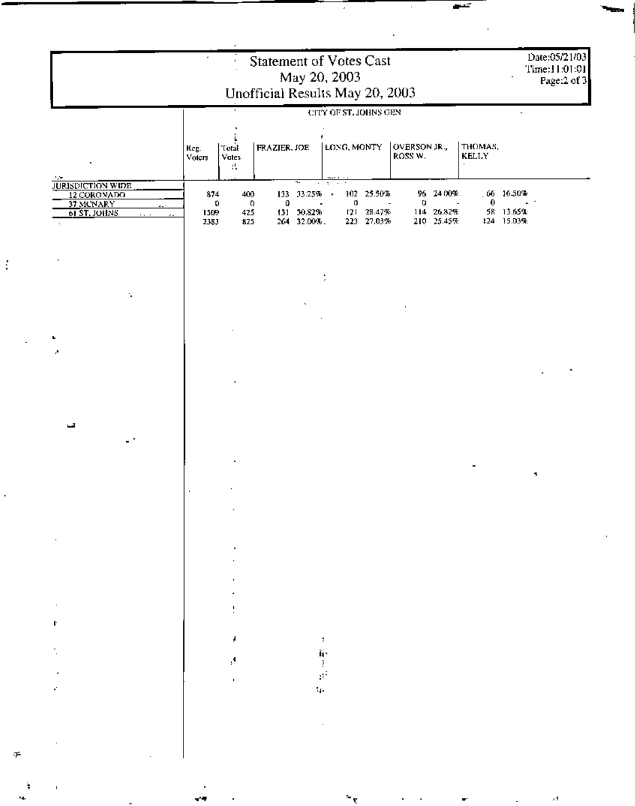| Statement of Votes Cast<br>May 20, 2003<br>Unofficial Results May 20, 2003 |                                               |                                |                     |                                                |                                      |   |                                                  |   |                                       |                                      |                                           | Date:05/21/03<br>Time:11:01:01<br>Page:2 of 3 |  |
|----------------------------------------------------------------------------|-----------------------------------------------|--------------------------------|---------------------|------------------------------------------------|--------------------------------------|---|--------------------------------------------------|---|---------------------------------------|--------------------------------------|-------------------------------------------|-----------------------------------------------|--|
|                                                                            | Total<br>Reg.<br>Voters<br><b>Votes</b><br>π. |                                | <b>FRAZIER, JOE</b> |                                                | CITY OF ST. JOHNS GEN<br>LONG, MONTY |   | OVERSON JR.,<br>ROSS W.                          |   | THOMAS,<br>KELLY                      |                                      |                                           |                                               |  |
| 174<br>JURISDICTION WIDE<br>37 MCNARY<br>61 ST. JOHNS                      | 874<br>1509<br>2383                           | 400<br>$\bullet$<br>425<br>825 | 0<br>$\circ$        | ≂<br>133 33.25% .<br>131 30.82%<br>264 32.00%. | $\sigma_{\rm{eff}}=2.0$ km s $^{-1}$ | 0 | 102 25:50%<br>$\sim$<br>121 28:47%<br>223 27.03% | υ | 96 24 00%<br>114 26.82%<br>210 25:45% | $\bf{0}$<br>$\overline{\phantom{a}}$ | $.66 - 16.50%$<br>58 13.65%<br>124 15.03% |                                               |  |
|                                                                            |                                               |                                |                     |                                                |                                      |   |                                                  |   |                                       |                                      |                                           |                                               |  |
| ٠.                                                                         |                                               |                                |                     |                                                |                                      |   |                                                  |   |                                       |                                      |                                           |                                               |  |
|                                                                            |                                               |                                |                     |                                                |                                      |   |                                                  |   |                                       |                                      |                                           |                                               |  |
|                                                                            |                                               |                                |                     |                                                |                                      |   |                                                  |   |                                       |                                      |                                           |                                               |  |
| تسا                                                                        |                                               |                                |                     |                                                |                                      |   |                                                  |   |                                       |                                      |                                           |                                               |  |
|                                                                            |                                               |                                |                     |                                                |                                      |   |                                                  |   |                                       |                                      |                                           | 7                                             |  |
|                                                                            |                                               |                                |                     |                                                |                                      |   |                                                  |   |                                       |                                      |                                           |                                               |  |
|                                                                            |                                               |                                |                     |                                                |                                      |   |                                                  |   |                                       |                                      |                                           |                                               |  |
|                                                                            |                                               |                                |                     |                                                |                                      |   |                                                  |   |                                       |                                      |                                           |                                               |  |
| ı.                                                                         |                                               | л.                             |                     |                                                | е                                    |   |                                                  |   |                                       |                                      |                                           |                                               |  |
|                                                                            |                                               |                                |                     |                                                |                                      |   |                                                  |   |                                       |                                      |                                           |                                               |  |
|                                                                            |                                               |                                |                     |                                                |                                      |   |                                                  |   |                                       |                                      |                                           |                                               |  |
|                                                                            |                                               |                                |                     |                                                |                                      |   |                                                  |   |                                       |                                      |                                           |                                               |  |

 $\ddot{\xi}$ 

ł,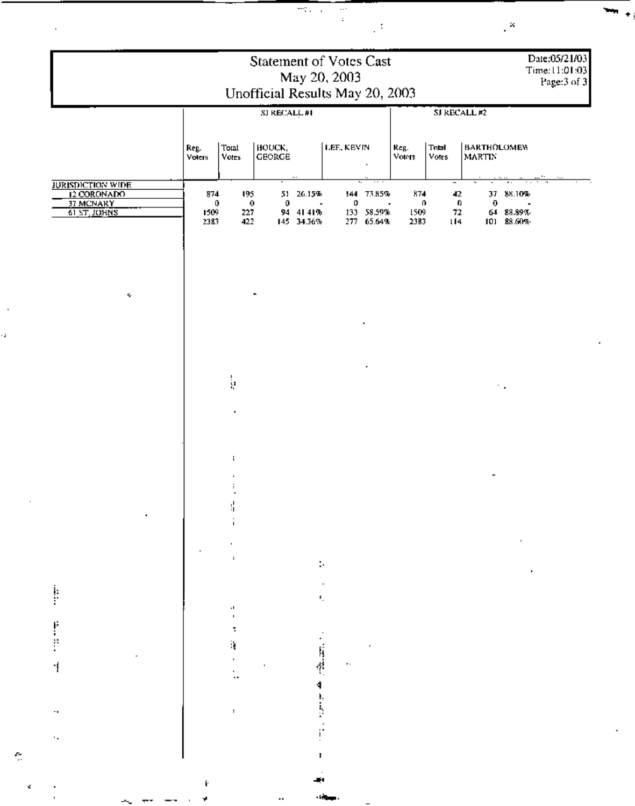|                                                                      |                          | Date:05/21/03<br>Time:11:01:03<br>Page:3 of 3 |                                |                                                |            |                                                  |                                     |                      |                                     |                                                |  |  |
|----------------------------------------------------------------------|--------------------------|-----------------------------------------------|--------------------------------|------------------------------------------------|------------|--------------------------------------------------|-------------------------------------|----------------------|-------------------------------------|------------------------------------------------|--|--|
|                                                                      | SI RECALL#1              |                                               |                                |                                                |            |                                                  |                                     | SJ RECALL #2         |                                     |                                                |  |  |
|                                                                      | Reg.<br><b>Voters</b>    | Total<br>Votes                                | <b>HOUCK,</b><br><b>GEORGE</b> |                                                | LEE, KEVIN |                                                  | Reg.<br>Voters                      | Total<br>Votes       | <b>BARTHOLOMEN</b><br><b>MARTIN</b> |                                                |  |  |
| <b>JURISDICTION WIDE</b><br>12 CORONADO<br>37 MCNARY<br>61 ST. JOHNS | 874<br>0<br>1509<br>2383 | 195<br>$\ddot{\mathbf{0}}$<br>227<br>422      | 0                              | 51 26.15%<br>$\sim$<br>94 41 41%<br>145 34.36% | 0          | 144 73,85%<br>$\sim$<br>133 58.59%<br>277 65.64% | 874<br>$\mathbf{0}$<br>1509<br>2383 | 42<br>0<br>72<br>114 | $\pmb{0}$                           | 37 88.10%<br>$\sim$<br>64 88.89%<br>101 88.60% |  |  |
| Ŷ.                                                                   |                          |                                               |                                |                                                |            |                                                  |                                     |                      |                                     |                                                |  |  |
|                                                                      |                          |                                               |                                |                                                |            |                                                  |                                     |                      |                                     |                                                |  |  |
|                                                                      |                          | ķ                                             |                                |                                                |            | ٠                                                |                                     |                      |                                     | ÷.                                             |  |  |
|                                                                      |                          | $\blacksquare$                                |                                |                                                |            |                                                  |                                     |                      |                                     |                                                |  |  |
|                                                                      |                          | ÷,                                            |                                |                                                |            |                                                  |                                     |                      |                                     |                                                |  |  |
|                                                                      |                          |                                               |                                |                                                |            |                                                  |                                     |                      |                                     |                                                |  |  |
|                                                                      |                          |                                               |                                |                                                |            |                                                  |                                     |                      |                                     |                                                |  |  |
|                                                                      |                          |                                               |                                |                                                |            |                                                  |                                     |                      |                                     |                                                |  |  |
|                                                                      |                          |                                               |                                |                                                |            |                                                  |                                     |                      |                                     |                                                |  |  |
|                                                                      |                          | :                                             |                                |                                                |            |                                                  |                                     |                      |                                     |                                                |  |  |

 $\mathbf{m}$  +

 $\sim$ 

 $\frac{1}{\sqrt{2}}$ 

 $\bar{\phantom{a}}$ 

 $\ddot{\phantom{0}}$